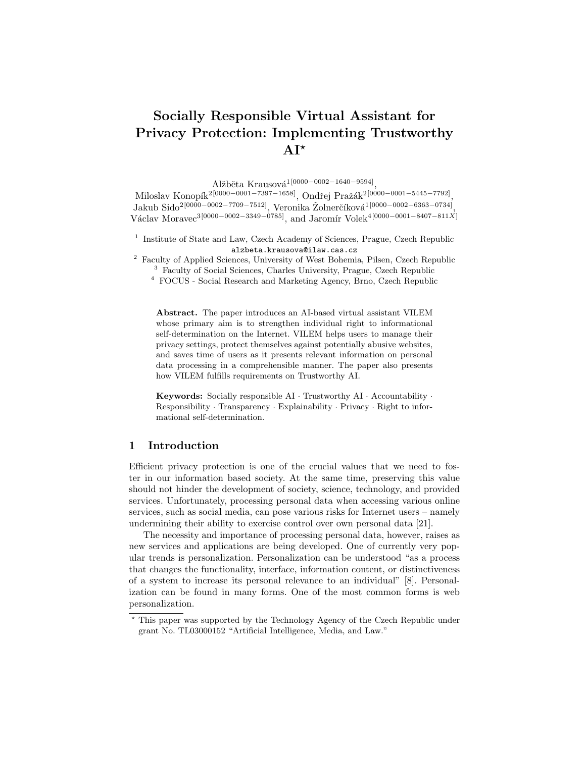# Socially Responsible Virtual Assistant for Privacy Protection: Implementing Trustworthy  $AI^{\star}$

Alžběta Krausová<sup>1[0000–0002–1640–9594]</sup>,

Miloslav Konopík<sup>2[0000–0001–7397–1658]</sup>, Ondřej Pražák<sup>2[0000–0001–5445–7792]<sub>,</sub></sup> Jakub Sido<sup>2</sup><sup>[0000</sup>−<sup>0002−7709−7512]</sup>, Veronika Žolnerčíková<sup>1</sup><sup>[0000–0002–6363–0734]</sup>, Václav Moravec<sup>3[0000–0002–3349–0785]</sup>, and Jaromír Volek<sup>4[0000–0001–8407–811X]</sup>

- <sup>1</sup> Institute of State and Law, Czech Academy of Sciences, Prague, Czech Republic alzbeta.krausova@ilaw.cas.cz
- <sup>2</sup> Faculty of Applied Sciences, University of West Bohemia, Pilsen, Czech Republic <sup>3</sup> Faculty of Social Sciences, Charles University, Prague, Czech Republic
	- <sup>4</sup> FOCUS Social Research and Marketing Agency, Brno, Czech Republic

Abstract. The paper introduces an AI-based virtual assistant VILEM whose primary aim is to strengthen individual right to informational self-determination on the Internet. VILEM helps users to manage their privacy settings, protect themselves against potentially abusive websites, and saves time of users as it presents relevant information on personal data processing in a comprehensible manner. The paper also presents how VILEM fulfills requirements on Trustworthy AI.

**Keywords:** Socially responsible  $AI \cdot \text{T}$  rustworthy  $AI \cdot \text{Accountability} \cdot$ Responsibility · Transparency · Explainability · Privacy · Right to informational self-determination.

# 1 Introduction

Efficient privacy protection is one of the crucial values that we need to foster in our information based society. At the same time, preserving this value should not hinder the development of society, science, technology, and provided services. Unfortunately, processing personal data when accessing various online services, such as social media, can pose various risks for Internet users – namely undermining their ability to exercise control over own personal data [21].

The necessity and importance of processing personal data, however, raises as new services and applications are being developed. One of currently very popular trends is personalization. Personalization can be understood "as a process that changes the functionality, interface, information content, or distinctiveness of a system to increase its personal relevance to an individual" [8]. Personalization can be found in many forms. One of the most common forms is web personalization.

<sup>?</sup> This paper was supported by the Technology Agency of the Czech Republic under grant No. TL03000152 "Artificial Intelligence, Media, and Law."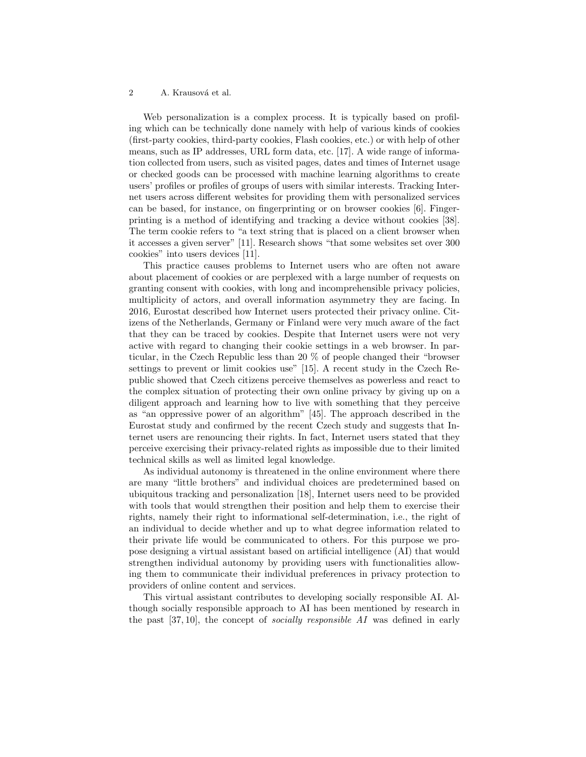Web personalization is a complex process. It is typically based on profiling which can be technically done namely with help of various kinds of cookies (first-party cookies, third-party cookies, Flash cookies, etc.) or with help of other means, such as IP addresses, URL form data, etc. [17]. A wide range of information collected from users, such as visited pages, dates and times of Internet usage or checked goods can be processed with machine learning algorithms to create users' profiles or profiles of groups of users with similar interests. Tracking Internet users across different websites for providing them with personalized services can be based, for instance, on fingerprinting or on browser cookies [6]. Fingerprinting is a method of identifying and tracking a device without cookies [38]. The term cookie refers to "a text string that is placed on a client browser when it accesses a given server" [11]. Research shows "that some websites set over 300 cookies" into users devices [11].

This practice causes problems to Internet users who are often not aware about placement of cookies or are perplexed with a large number of requests on granting consent with cookies, with long and incomprehensible privacy policies, multiplicity of actors, and overall information asymmetry they are facing. In 2016, Eurostat described how Internet users protected their privacy online. Citizens of the Netherlands, Germany or Finland were very much aware of the fact that they can be traced by cookies. Despite that Internet users were not very active with regard to changing their cookie settings in a web browser. In particular, in the Czech Republic less than 20 % of people changed their "browser settings to prevent or limit cookies use" [15]. A recent study in the Czech Republic showed that Czech citizens perceive themselves as powerless and react to the complex situation of protecting their own online privacy by giving up on a diligent approach and learning how to live with something that they perceive as "an oppressive power of an algorithm" [45]. The approach described in the Eurostat study and confirmed by the recent Czech study and suggests that Internet users are renouncing their rights. In fact, Internet users stated that they perceive exercising their privacy-related rights as impossible due to their limited technical skills as well as limited legal knowledge.

As individual autonomy is threatened in the online environment where there are many "little brothers" and individual choices are predetermined based on ubiquitous tracking and personalization [18], Internet users need to be provided with tools that would strengthen their position and help them to exercise their rights, namely their right to informational self-determination, i.e., the right of an individual to decide whether and up to what degree information related to their private life would be communicated to others. For this purpose we propose designing a virtual assistant based on artificial intelligence (AI) that would strengthen individual autonomy by providing users with functionalities allowing them to communicate their individual preferences in privacy protection to providers of online content and services.

This virtual assistant contributes to developing socially responsible AI. Although socially responsible approach to AI has been mentioned by research in the past [37, 10], the concept of socially responsible AI was defined in early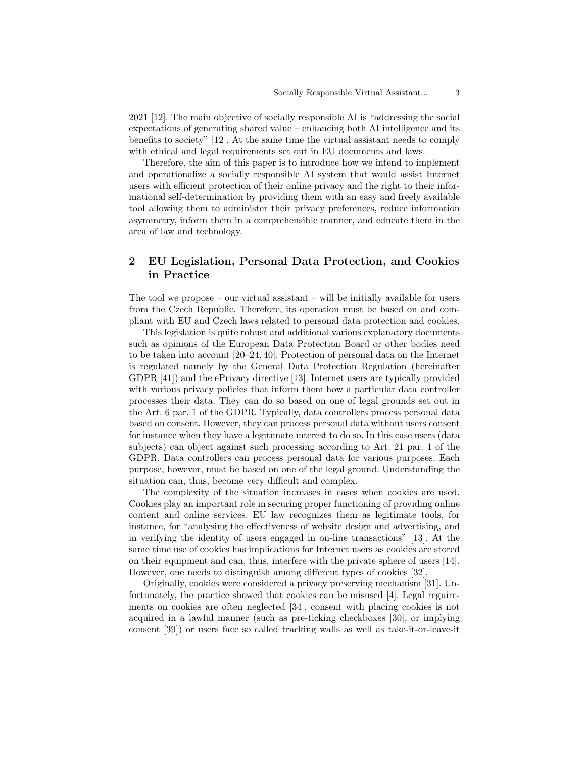2021 [12]. The main objective of socially responsible AI is "addressing the social expectations of generating shared value – enhancing both AI intelligence and its benefits to society" [12]. At the same time the virtual assistant needs to comply with ethical and legal requirements set out in EU documents and laws.

Therefore, the aim of this paper is to introduce how we intend to implement and operationalize a socially responsible AI system that would assist Internet users with efficient protection of their online privacy and the right to their informational self-determination by providing them with an easy and freely available tool allowing them to administer their privacy preferences, reduce information asymmetry, inform them in a comprehensible manner, and educate them in the area of law and technology.

# 2 EU Legislation, Personal Data Protection, and Cookies in Practice

The tool we propose – our virtual assistant – will be initially available for users from the Czech Republic. Therefore, its operation must be based on and compliant with EU and Czech laws related to personal data protection and cookies.

This legislation is quite robust and additional various explanatory documents such as opinions of the European Data Protection Board or other bodies need to be taken into account [20–24, 40]. Protection of personal data on the Internet is regulated namely by the General Data Protection Regulation (hereinafter GDPR [41]) and the ePrivacy directive [13]. Internet users are typically provided with various privacy policies that inform them how a particular data controller processes their data. They can do so based on one of legal grounds set out in the Art. 6 par. 1 of the GDPR. Typically, data controllers process personal data based on consent. However, they can process personal data without users consent for instance when they have a legitimate interest to do so. In this case users (data subjects) can object against such processing according to Art. 21 par. 1 of the GDPR. Data controllers can process personal data for various purposes. Each purpose, however, must be based on one of the legal ground. Understanding the situation can, thus, become very difficult and complex.

The complexity of the situation increases in cases when cookies are used. Cookies play an important role in securing proper functioning of providing online content and online services. EU law recognizes them as legitimate tools, for instance, for "analysing the effectiveness of website design and advertising, and in verifying the identity of users engaged in on-line transactions" [13]. At the same time use of cookies has implications for Internet users as cookies are stored on their equipment and can, thus, interfere with the private sphere of users [14]. However, one needs to distinguish among different types of cookies [32].

Originally, cookies were considered a privacy preserving mechanism [31]. Unfortunately, the practice showed that cookies can be misused [4]. Legal reguirements on cookies are often neglected [34], consent with placing cookies is not acquired in a lawful manner (such as pre-ticking checkboxes [30], or implying consent [39]) or users face so called tracking walls as well as take-it-or-leave-it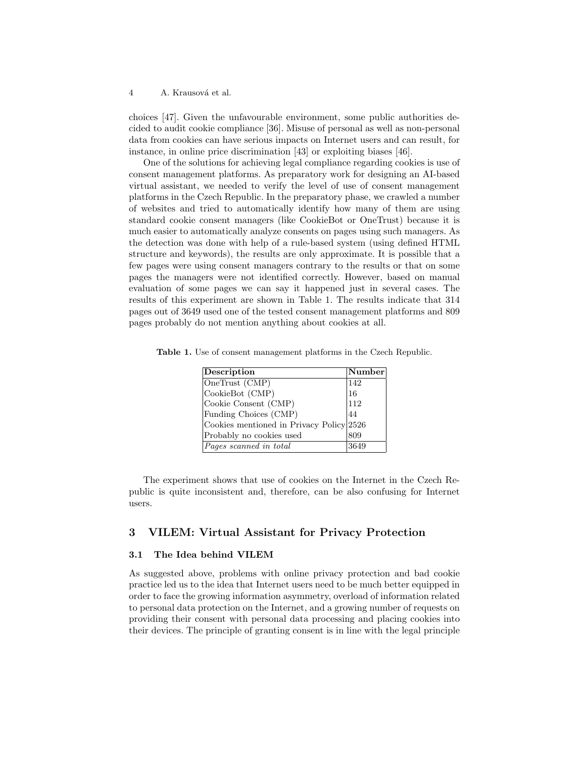choices [47]. Given the unfavourable environment, some public authorities decided to audit cookie compliance [36]. Misuse of personal as well as non-personal data from cookies can have serious impacts on Internet users and can result, for instance, in online price discrimination [43] or exploiting biases [46].

One of the solutions for achieving legal compliance regarding cookies is use of consent management platforms. As preparatory work for designing an AI-based virtual assistant, we needed to verify the level of use of consent management platforms in the Czech Republic. In the preparatory phase, we crawled a number of websites and tried to automatically identify how many of them are using standard cookie consent managers (like CookieBot or OneTrust) because it is much easier to automatically analyze consents on pages using such managers. As the detection was done with help of a rule-based system (using defined HTML structure and keywords), the results are only approximate. It is possible that a few pages were using consent managers contrary to the results or that on some pages the managers were not identified correctly. However, based on manual evaluation of some pages we can say it happened just in several cases. The results of this experiment are shown in Table 1. The results indicate that 314 pages out of 3649 used one of the tested consent management platforms and 809 pages probably do not mention anything about cookies at all.

Table 1. Use of consent management platforms in the Czech Republic.

| Description                              | $\vert$ Number $\vert$ |
|------------------------------------------|------------------------|
| OneTrust (CMP)                           | 142                    |
| CookieBot (CMP)                          | 16                     |
| Cookie Consent (CMP)                     | 112                    |
| Funding Choices (CMP)                    | 44                     |
| Cookies mentioned in Privacy Policy 2526 |                        |
| Probably no cookies used                 | 809                    |
| Pages scanned in total                   | 3649                   |

The experiment shows that use of cookies on the Internet in the Czech Republic is quite inconsistent and, therefore, can be also confusing for Internet users.

# 3 VILEM: Virtual Assistant for Privacy Protection

## 3.1 The Idea behind VILEM

As suggested above, problems with online privacy protection and bad cookie practice led us to the idea that Internet users need to be much better equipped in order to face the growing information asymmetry, overload of information related to personal data protection on the Internet, and a growing number of requests on providing their consent with personal data processing and placing cookies into their devices. The principle of granting consent is in line with the legal principle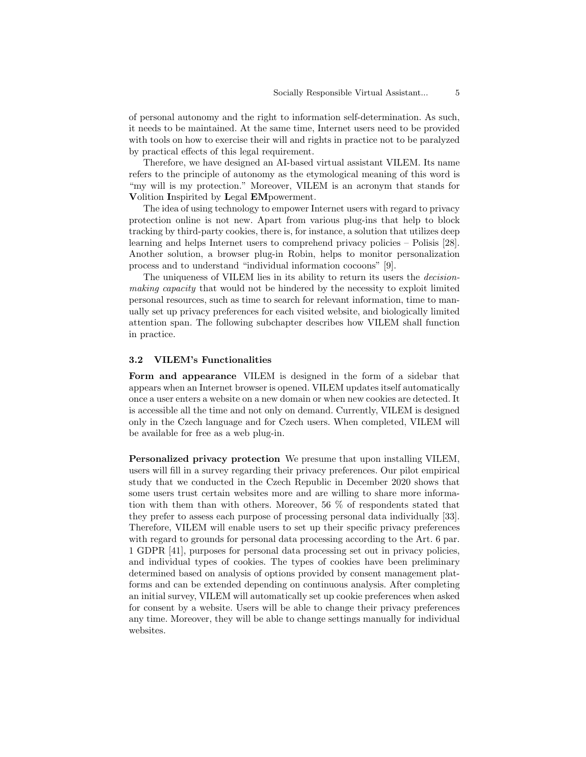of personal autonomy and the right to information self-determination. As such, it needs to be maintained. At the same time, Internet users need to be provided with tools on how to exercise their will and rights in practice not to be paralyzed by practical effects of this legal requirement.

Therefore, we have designed an AI-based virtual assistant VILEM. Its name refers to the principle of autonomy as the etymological meaning of this word is "my will is my protection." Moreover, VILEM is an acronym that stands for Volition Inspirited by Legal EMpowerment.

The idea of using technology to empower Internet users with regard to privacy protection online is not new. Apart from various plug-ins that help to block tracking by third-party cookies, there is, for instance, a solution that utilizes deep learning and helps Internet users to comprehend privacy policies – Polisis [28]. Another solution, a browser plug-in Robin, helps to monitor personalization process and to understand "individual information cocoons" [9].

The uniqueness of VILEM lies in its ability to return its users the decisionmaking capacity that would not be hindered by the necessity to exploit limited personal resources, such as time to search for relevant information, time to manually set up privacy preferences for each visited website, and biologically limited attention span. The following subchapter describes how VILEM shall function in practice.

#### 3.2 VILEM's Functionalities

Form and appearance VILEM is designed in the form of a sidebar that appears when an Internet browser is opened. VILEM updates itself automatically once a user enters a website on a new domain or when new cookies are detected. It is accessible all the time and not only on demand. Currently, VILEM is designed only in the Czech language and for Czech users. When completed, VILEM will be available for free as a web plug-in.

Personalized privacy protection We presume that upon installing VILEM, users will fill in a survey regarding their privacy preferences. Our pilot empirical study that we conducted in the Czech Republic in December 2020 shows that some users trust certain websites more and are willing to share more information with them than with others. Moreover, 56 % of respondents stated that they prefer to assess each purpose of processing personal data individually [33]. Therefore, VILEM will enable users to set up their specific privacy preferences with regard to grounds for personal data processing according to the Art. 6 par. 1 GDPR [41], purposes for personal data processing set out in privacy policies, and individual types of cookies. The types of cookies have been preliminary determined based on analysis of options provided by consent management platforms and can be extended depending on continuous analysis. After completing an initial survey, VILEM will automatically set up cookie preferences when asked for consent by a website. Users will be able to change their privacy preferences any time. Moreover, they will be able to change settings manually for individual websites.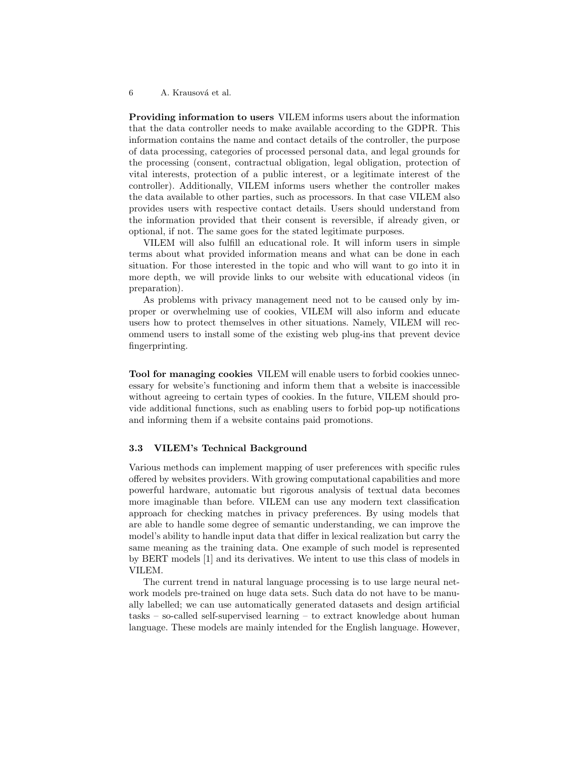Providing information to users VILEM informs users about the information that the data controller needs to make available according to the GDPR. This information contains the name and contact details of the controller, the purpose of data processing, categories of processed personal data, and legal grounds for the processing (consent, contractual obligation, legal obligation, protection of vital interests, protection of a public interest, or a legitimate interest of the controller). Additionally, VILEM informs users whether the controller makes the data available to other parties, such as processors. In that case VILEM also provides users with respective contact details. Users should understand from the information provided that their consent is reversible, if already given, or optional, if not. The same goes for the stated legitimate purposes.

VILEM will also fulfill an educational role. It will inform users in simple terms about what provided information means and what can be done in each situation. For those interested in the topic and who will want to go into it in more depth, we will provide links to our website with educational videos (in preparation).

As problems with privacy management need not to be caused only by improper or overwhelming use of cookies, VILEM will also inform and educate users how to protect themselves in other situations. Namely, VILEM will recommend users to install some of the existing web plug-ins that prevent device fingerprinting.

Tool for managing cookies VILEM will enable users to forbid cookies unnecessary for website's functioning and inform them that a website is inaccessible without agreeing to certain types of cookies. In the future, VILEM should provide additional functions, such as enabling users to forbid pop-up notifications and informing them if a website contains paid promotions.

#### 3.3 VILEM's Technical Background

Various methods can implement mapping of user preferences with specific rules offered by websites providers. With growing computational capabilities and more powerful hardware, automatic but rigorous analysis of textual data becomes more imaginable than before. VILEM can use any modern text classification approach for checking matches in privacy preferences. By using models that are able to handle some degree of semantic understanding, we can improve the model's ability to handle input data that differ in lexical realization but carry the same meaning as the training data. One example of such model is represented by BERT models [1] and its derivatives. We intent to use this class of models in VILEM.

The current trend in natural language processing is to use large neural network models pre-trained on huge data sets. Such data do not have to be manually labelled; we can use automatically generated datasets and design artificial tasks – so-called self-supervised learning – to extract knowledge about human language. These models are mainly intended for the English language. However,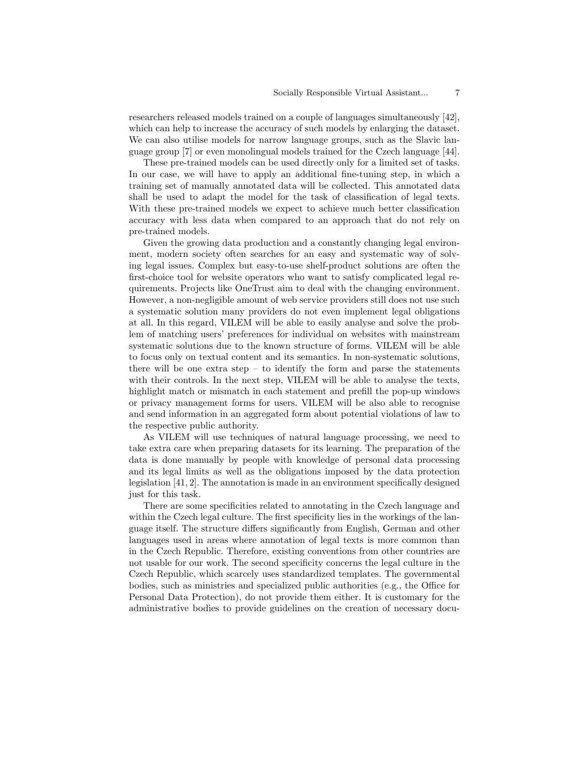researchers released models trained on a couple of languages simultaneously [42], which can help to increase the accuracy of such models by enlarging the dataset. We can also utilise models for narrow language groups, such as the Slavic language group [7] or even monolingual models trained for the Czech language [44].

These pre-trained models can be used directly only for a limited set of tasks. In our case, we will have to apply an additional fine-tuning step, in which a training set of manually annotated data will be collected. This annotated data shall be used to adapt the model for the task of classification of legal texts. With these pre-trained models we expect to achieve much better classification accuracy with less data when compared to an approach that do not rely on pre-trained models.

Given the growing data production and a constantly changing legal environment, modern society often searches for an easy and systematic way of solving legal issues. Complex but easy-to-use shelf-product solutions are often the first-choice tool for website operators who want to satisfy complicated legal requirements. Projects like OneTrust aim to deal with the changing environment. However, a non-negligible amount of web service providers still does not use such a systematic solution many providers do not even implement legal obligations at all. In this regard, VILEM will be able to easily analyse and solve the problem of matching users' preferences for individual on websites with mainstream systematic solutions due to the known structure of forms. VILEM will be able to focus only on textual content and its semantics. In non-systematic solutions, there will be one extra step – to identify the form and parse the statements with their controls. In the next step, VILEM will be able to analyse the texts, highlight match or mismatch in each statement and prefill the pop-up windows or privacy management forms for users. VILEM will be also able to recognise and send information in an aggregated form about potential violations of law to the respective public authority.

As VILEM will use techniques of natural language processing, we need to take extra care when preparing datasets for its learning. The preparation of the data is done manually by people with knowledge of personal data processing and its legal limits as well as the obligations imposed by the data protection legislation [41, 2]. The annotation is made in an environment specifically designed just for this task.

There are some specificities related to annotating in the Czech language and within the Czech legal culture. The first specificity lies in the workings of the language itself. The structure differs significantly from English, German and other languages used in areas where annotation of legal texts is more common than in the Czech Republic. Therefore, existing conventions from other countries are not usable for our work. The second specificity concerns the legal culture in the Czech Republic, which scarcely uses standardized templates. The governmental bodies, such as ministries and specialized public authorities (e.g., the Office for Personal Data Protection), do not provide them either. It is customary for the administrative bodies to provide guidelines on the creation of necessary docu-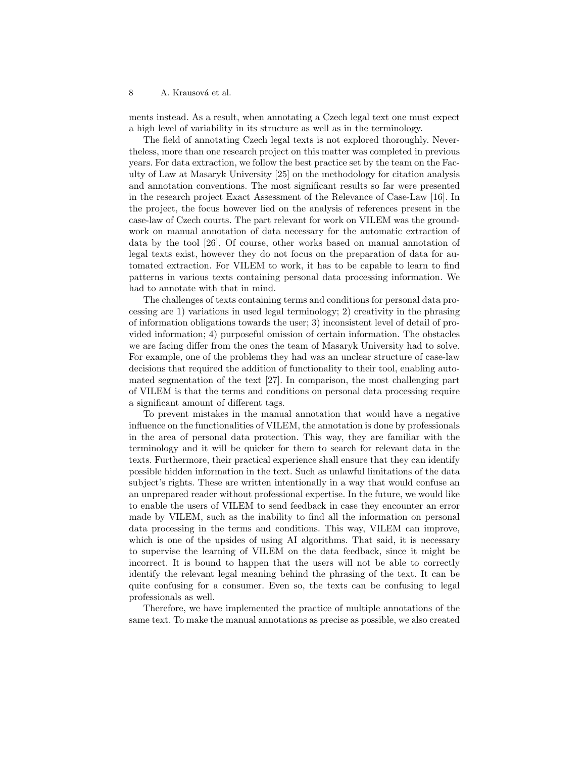ments instead. As a result, when annotating a Czech legal text one must expect a high level of variability in its structure as well as in the terminology.

The field of annotating Czech legal texts is not explored thoroughly. Nevertheless, more than one research project on this matter was completed in previous years. For data extraction, we follow the best practice set by the team on the Faculty of Law at Masaryk University [25] on the methodology for citation analysis and annotation conventions. The most significant results so far were presented in the research project Exact Assessment of the Relevance of Case-Law [16]. In the project, the focus however lied on the analysis of references present in the case-law of Czech courts. The part relevant for work on VILEM was the groundwork on manual annotation of data necessary for the automatic extraction of data by the tool [26]. Of course, other works based on manual annotation of legal texts exist, however they do not focus on the preparation of data for automated extraction. For VILEM to work, it has to be capable to learn to find patterns in various texts containing personal data processing information. We had to annotate with that in mind.

The challenges of texts containing terms and conditions for personal data processing are 1) variations in used legal terminology; 2) creativity in the phrasing of information obligations towards the user; 3) inconsistent level of detail of provided information; 4) purposeful omission of certain information. The obstacles we are facing differ from the ones the team of Masaryk University had to solve. For example, one of the problems they had was an unclear structure of case-law decisions that required the addition of functionality to their tool, enabling automated segmentation of the text [27]. In comparison, the most challenging part of VILEM is that the terms and conditions on personal data processing require a significant amount of different tags.

To prevent mistakes in the manual annotation that would have a negative influence on the functionalities of VILEM, the annotation is done by professionals in the area of personal data protection. This way, they are familiar with the terminology and it will be quicker for them to search for relevant data in the texts. Furthermore, their practical experience shall ensure that they can identify possible hidden information in the text. Such as unlawful limitations of the data subject's rights. These are written intentionally in a way that would confuse an an unprepared reader without professional expertise. In the future, we would like to enable the users of VILEM to send feedback in case they encounter an error made by VILEM, such as the inability to find all the information on personal data processing in the terms and conditions. This way, VILEM can improve, which is one of the upsides of using AI algorithms. That said, it is necessary to supervise the learning of VILEM on the data feedback, since it might be incorrect. It is bound to happen that the users will not be able to correctly identify the relevant legal meaning behind the phrasing of the text. It can be quite confusing for a consumer. Even so, the texts can be confusing to legal professionals as well.

Therefore, we have implemented the practice of multiple annotations of the same text. To make the manual annotations as precise as possible, we also created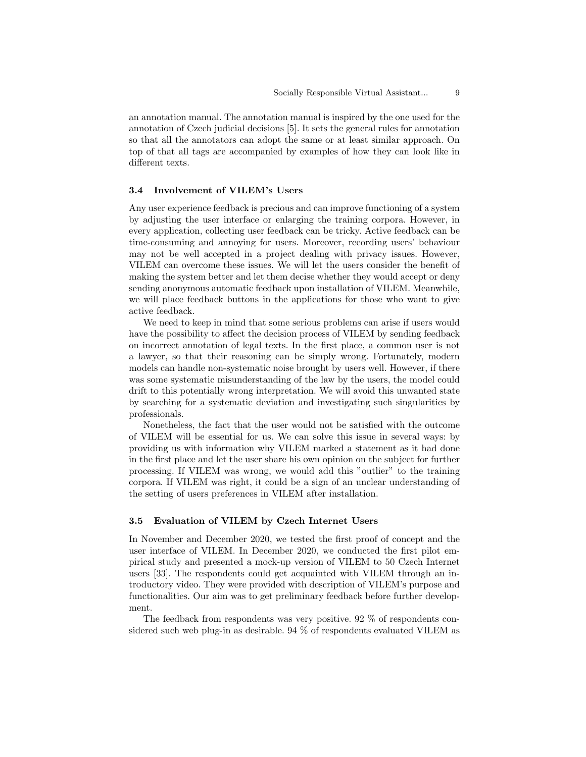an annotation manual. The annotation manual is inspired by the one used for the annotation of Czech judicial decisions [5]. It sets the general rules for annotation so that all the annotators can adopt the same or at least similar approach. On top of that all tags are accompanied by examples of how they can look like in different texts.

# 3.4 Involvement of VILEM's Users

Any user experience feedback is precious and can improve functioning of a system by adjusting the user interface or enlarging the training corpora. However, in every application, collecting user feedback can be tricky. Active feedback can be time-consuming and annoying for users. Moreover, recording users' behaviour may not be well accepted in a project dealing with privacy issues. However, VILEM can overcome these issues. We will let the users consider the benefit of making the system better and let them decise whether they would accept or deny sending anonymous automatic feedback upon installation of VILEM. Meanwhile, we will place feedback buttons in the applications for those who want to give active feedback.

We need to keep in mind that some serious problems can arise if users would have the possibility to affect the decision process of VILEM by sending feedback on incorrect annotation of legal texts. In the first place, a common user is not a lawyer, so that their reasoning can be simply wrong. Fortunately, modern models can handle non-systematic noise brought by users well. However, if there was some systematic misunderstanding of the law by the users, the model could drift to this potentially wrong interpretation. We will avoid this unwanted state by searching for a systematic deviation and investigating such singularities by professionals.

Nonetheless, the fact that the user would not be satisfied with the outcome of VILEM will be essential for us. We can solve this issue in several ways: by providing us with information why VILEM marked a statement as it had done in the first place and let the user share his own opinion on the subject for further processing. If VILEM was wrong, we would add this "outlier" to the training corpora. If VILEM was right, it could be a sign of an unclear understanding of the setting of users preferences in VILEM after installation.

## 3.5 Evaluation of VILEM by Czech Internet Users

In November and December 2020, we tested the first proof of concept and the user interface of VILEM. In December 2020, we conducted the first pilot empirical study and presented a mock-up version of VILEM to 50 Czech Internet users [33]. The respondents could get acquainted with VILEM through an introductory video. They were provided with description of VILEM's purpose and functionalities. Our aim was to get preliminary feedback before further development.

The feedback from respondents was very positive. 92 % of respondents considered such web plug-in as desirable. 94 % of respondents evaluated VILEM as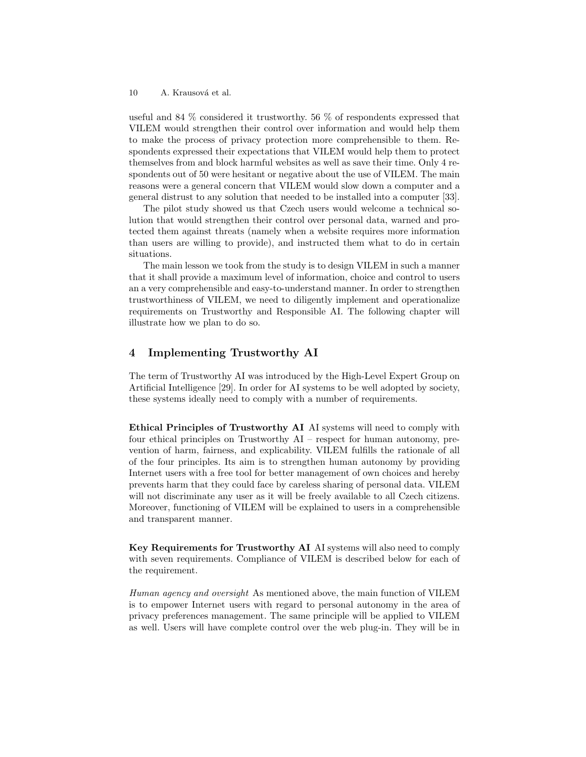useful and 84 % considered it trustworthy. 56 % of respondents expressed that VILEM would strengthen their control over information and would help them to make the process of privacy protection more comprehensible to them. Respondents expressed their expectations that VILEM would help them to protect themselves from and block harmful websites as well as save their time. Only 4 respondents out of 50 were hesitant or negative about the use of VILEM. The main reasons were a general concern that VILEM would slow down a computer and a general distrust to any solution that needed to be installed into a computer [33].

The pilot study showed us that Czech users would welcome a technical solution that would strengthen their control over personal data, warned and protected them against threats (namely when a website requires more information than users are willing to provide), and instructed them what to do in certain situations.

The main lesson we took from the study is to design VILEM in such a manner that it shall provide a maximum level of information, choice and control to users an a very comprehensible and easy-to-understand manner. In order to strengthen trustworthiness of VILEM, we need to diligently implement and operationalize requirements on Trustworthy and Responsible AI. The following chapter will illustrate how we plan to do so.

# 4 Implementing Trustworthy AI

The term of Trustworthy AI was introduced by the High-Level Expert Group on Artificial Intelligence [29]. In order for AI systems to be well adopted by society, these systems ideally need to comply with a number of requirements.

Ethical Principles of Trustworthy AI AI systems will need to comply with four ethical principles on Trustworthy AI – respect for human autonomy, prevention of harm, fairness, and explicability. VILEM fulfills the rationale of all of the four principles. Its aim is to strengthen human autonomy by providing Internet users with a free tool for better management of own choices and hereby prevents harm that they could face by careless sharing of personal data. VILEM will not discriminate any user as it will be freely available to all Czech citizens. Moreover, functioning of VILEM will be explained to users in a comprehensible and transparent manner.

Key Requirements for Trustworthy AI AI systems will also need to comply with seven requirements. Compliance of VILEM is described below for each of the requirement.

Human agency and oversight As mentioned above, the main function of VILEM is to empower Internet users with regard to personal autonomy in the area of privacy preferences management. The same principle will be applied to VILEM as well. Users will have complete control over the web plug-in. They will be in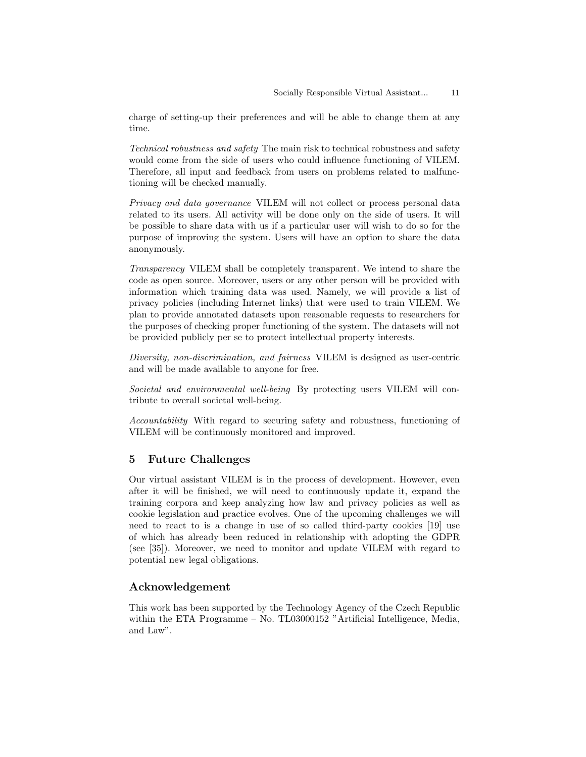charge of setting-up their preferences and will be able to change them at any time.

Technical robustness and safety The main risk to technical robustness and safety would come from the side of users who could influence functioning of VILEM. Therefore, all input and feedback from users on problems related to malfunctioning will be checked manually.

Privacy and data governance VILEM will not collect or process personal data related to its users. All activity will be done only on the side of users. It will be possible to share data with us if a particular user will wish to do so for the purpose of improving the system. Users will have an option to share the data anonymously.

Transparency VILEM shall be completely transparent. We intend to share the code as open source. Moreover, users or any other person will be provided with information which training data was used. Namely, we will provide a list of privacy policies (including Internet links) that were used to train VILEM. We plan to provide annotated datasets upon reasonable requests to researchers for the purposes of checking proper functioning of the system. The datasets will not be provided publicly per se to protect intellectual property interests.

Diversity, non-discrimination, and fairness VILEM is designed as user-centric and will be made available to anyone for free.

Societal and environmental well-being By protecting users VILEM will contribute to overall societal well-being.

Accountability With regard to securing safety and robustness, functioning of VILEM will be continuously monitored and improved.

# 5 Future Challenges

Our virtual assistant VILEM is in the process of development. However, even after it will be finished, we will need to continuously update it, expand the training corpora and keep analyzing how law and privacy policies as well as cookie legislation and practice evolves. One of the upcoming challenges we will need to react to is a change in use of so called third-party cookies [19] use of which has already been reduced in relationship with adopting the GDPR (see [35]). Moreover, we need to monitor and update VILEM with regard to potential new legal obligations.

# Acknowledgement

This work has been supported by the Technology Agency of the Czech Republic within the ETA Programme – No. TL03000152 "Artificial Intelligence, Media, and Law".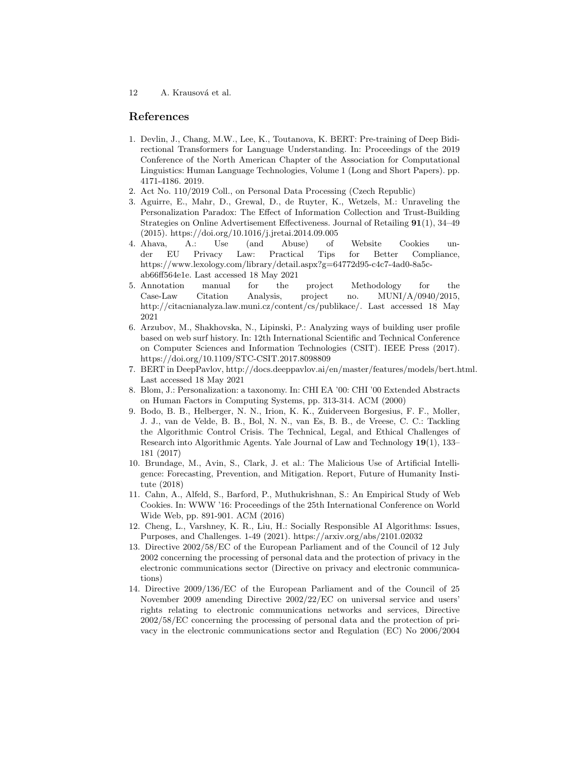# References

- 1. Devlin, J., Chang, M.W., Lee, K., Toutanova, K. BERT: Pre-training of Deep Bidirectional Transformers for Language Understanding. In: Proceedings of the 2019 Conference of the North American Chapter of the Association for Computational Linguistics: Human Language Technologies, Volume 1 (Long and Short Papers). pp. 4171-4186. 2019.
- 2. Act No. 110/2019 Coll., on Personal Data Processing (Czech Republic)
- 3. Aguirre, E., Mahr, D., Grewal, D., de Ruyter, K., Wetzels, M.: Unraveling the Personalization Paradox: The Effect of Information Collection and Trust-Building Strategies on Online Advertisement Effectiveness. Journal of Retailing 91(1), 34–49 (2015). https://doi.org/10.1016/j.jretai.2014.09.005
- 4. Ahava, A.: Use (and Abuse) of Website Cookies under EU Privacy Law: Practical Tips for Better Compliance, https://www.lexology.com/library/detail.aspx?g=64772d95-c4c7-4ad0-8a5cab66ff564e1e. Last accessed 18 May 2021
- 5. Annotation manual for the project Methodology for the Case-Law Citation Analysis, project no. MUNI/A/0940/2015, http://citacnianalyza.law.muni.cz/content/cs/publikace/. Last accessed 18 May 2021
- 6. Arzubov, M., Shakhovska, N., Lipinski, P.: Analyzing ways of building user profile based on web surf history. In: 12th International Scientific and Technical Conference on Computer Sciences and Information Technologies (CSIT). IEEE Press (2017). https://doi.org/10.1109/STC-CSIT.2017.8098809
- 7. BERT in DeepPavlov, http://docs.deeppavlov.ai/en/master/features/models/bert.html. Last accessed 18 May 2021
- 8. Blom, J.: Personalization: a taxonomy. In: CHI EA '00: CHI '00 Extended Abstracts on Human Factors in Computing Systems, pp. 313-314. ACM (2000)
- 9. Bodo, B. B., Helberger, N. N., Irion, K. K., Zuiderveen Borgesius, F. F., Moller, J. J., van de Velde, B. B., Bol, N. N., van Es, B. B., de Vreese, C. C.: Tackling the Algorithmic Control Crisis. The Technical, Legal, and Ethical Challenges of Research into Algorithmic Agents. Yale Journal of Law and Technology 19(1), 133– 181 (2017)
- 10. Brundage, M., Avin, S., Clark, J. et al.: The Malicious Use of Artificial Intelligence: Forecasting, Prevention, and Mitigation. Report, Future of Humanity Institute (2018)
- 11. Cahn, A., Alfeld, S., Barford, P., Muthukrishnan, S.: An Empirical Study of Web Cookies. In: WWW '16: Proceedings of the 25th International Conference on World Wide Web, pp. 891-901. ACM (2016)
- 12. Cheng, L., Varshney, K. R., Liu, H.: Socially Responsible AI Algorithms: Issues, Purposes, and Challenges. 1-49 (2021). https://arxiv.org/abs/2101.02032
- 13. Directive 2002/58/EC of the European Parliament and of the Council of 12 July 2002 concerning the processing of personal data and the protection of privacy in the electronic communications sector (Directive on privacy and electronic communications)
- 14. Directive 2009/136/EC of the European Parliament and of the Council of 25 November 2009 amending Directive 2002/22/EC on universal service and users' rights relating to electronic communications networks and services, Directive 2002/58/EC concerning the processing of personal data and the protection of privacy in the electronic communications sector and Regulation (EC) No 2006/2004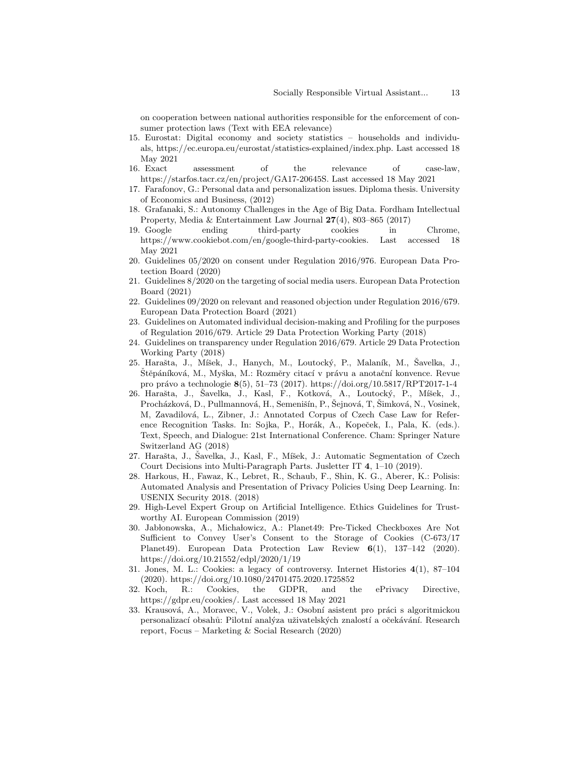on cooperation between national authorities responsible for the enforcement of consumer protection laws (Text with EEA relevance)

- 15. Eurostat: Digital economy and society statistics households and individuals, https://ec.europa.eu/eurostat/statistics-explained/index.php. Last accessed 18 May 2021
- 16. Exact assessment of the relevance of case-law, https://starfos.tacr.cz/en/project/GA17-20645S. Last accessed 18 May 2021
- 17. Farafonov, G.: Personal data and personalization issues. Diploma thesis. University of Economics and Business, (2012)
- 18. Grafanaki, S.: Autonomy Challenges in the Age of Big Data. Fordham Intellectual Property, Media & Entertainment Law Journal 27(4), 803–865 (2017)
- 19. Google ending third-party cookies in Chrome, https://www.cookiebot.com/en/google-third-party-cookies. Last accessed 18 May 2021
- 20. Guidelines 05/2020 on consent under Regulation 2016/976. European Data Protection Board (2020)
- 21. Guidelines 8/2020 on the targeting of social media users. European Data Protection Board (2021)
- 22. Guidelines 09/2020 on relevant and reasoned objection under Regulation 2016/679. European Data Protection Board (2021)
- 23. Guidelines on Automated individual decision-making and Profiling for the purposes of Regulation 2016/679. Article 29 Data Protection Working Party (2018)
- 24. Guidelines on transparency under Regulation 2016/679. Article 29 Data Protection Working Party (2018)
- 25. Harašta, J., Míšek, J., Hanych, M., Loutocký, P., Malaník, M., Šavelka, J., Štěpáníková, M., Myška, M.: Rozměry citací v právu a anotační konvence. Revue pro právo a technologie 8(5), 51–73 (2017). https://doi.org/10.5817/RPT2017-1-4
- 26. Harašta, J., Šavelka, J., Kasl, F., Kotková, A., Loutocký, P., Míšek, J., Procházková, D., Pullmannová, H., Semenišín, P., Šejnová, T., Šimková, N., Vosinek, M, Zavadilová, L., Zibner, J.: Annotated Corpus of Czech Case Law for Reference Recognition Tasks. In: Sojka, P., Horák, A., Kopeček, I., Pala, K. (eds.). Text, Speech, and Dialogue: 21st International Conference. Cham: Springer Nature Switzerland AG (2018)
- 27. Harašta, J., Šavelka, J., Kasl, F., Míšek, J.: Automatic Segmentation of Czech Court Decisions into Multi-Paragraph Parts. Jusletter IT 4, 1–10 (2019).
- 28. Harkous, H., Fawaz, K., Lebret, R., Schaub, F., Shin, K. G., Aberer, K.: Polisis: Automated Analysis and Presentation of Privacy Policies Using Deep Learning. In: USENIX Security 2018. (2018)
- 29. High-Level Expert Group on Artificial Intelligence. Ethics Guidelines for Trustworthy AI. European Commission (2019)
- 30. Jab lonowska, A., Micha lowicz, A.: Planet49: Pre-Ticked Checkboxes Are Not Sufficient to Convey User's Consent to the Storage of Cookies (C-673/17 Planet49). European Data Protection Law Review 6(1), 137–142 (2020). https://doi.org/10.21552/edpl/2020/1/19
- 31. Jones, M. L.: Cookies: a legacy of controversy. Internet Histories 4(1), 87–104 (2020). https://doi.org/10.1080/24701475.2020.1725852
- 32. Koch, R.: Cookies, the GDPR, and the ePrivacy Directive, https://gdpr.eu/cookies/. Last accessed 18 May 2021
- 33. Krausová, A., Moravec, V., Volek, J.: Osobní asistent pro práci s algoritmickou personalizací obsahů: Pilotní analýza uživatelských znalostí a očekávání. Research report, Focus – Marketing & Social Research (2020)